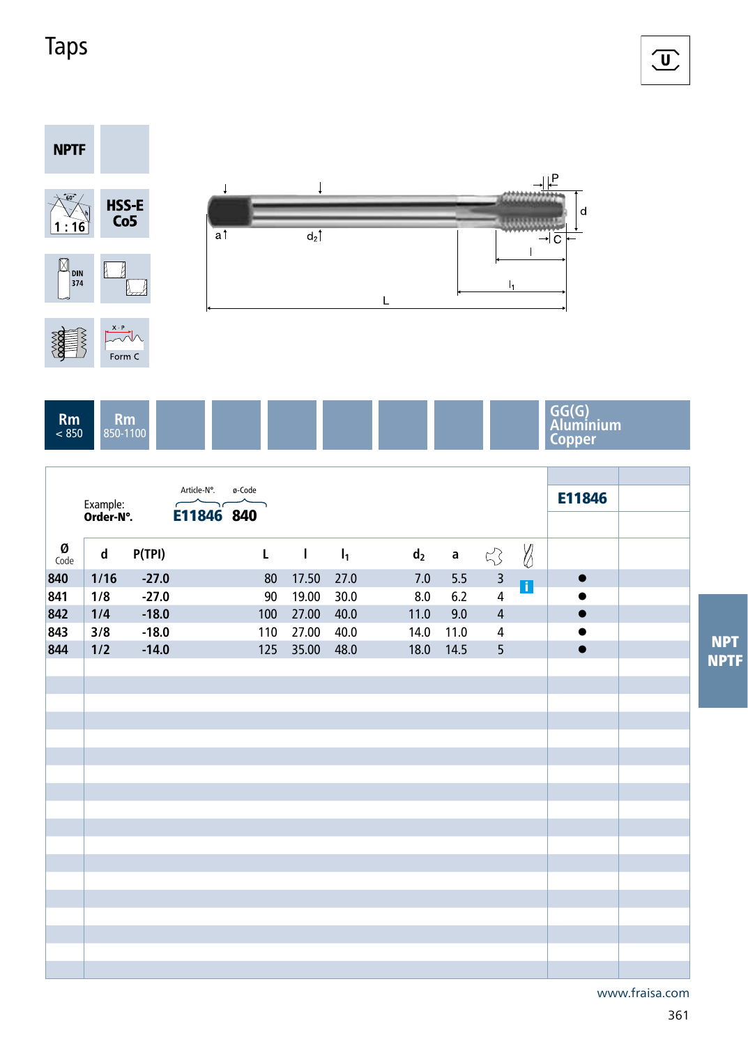## Taps



|           | Example:<br>Order-N°. |         | Article-N°.<br>E11846 840 | ø-Code         |              |       |                |             |                         |             | E11846    |             |
|-----------|-----------------------|---------|---------------------------|----------------|--------------|-------|----------------|-------------|-------------------------|-------------|-----------|-------------|
|           |                       |         |                           |                |              |       |                |             |                         |             |           |             |
| Ø<br>Code | d                     | P(TPI)  |                           | $\mathsf{L}^-$ | $\mathbf{L}$ | $I_1$ | d <sub>2</sub> | $\mathbf a$ | $\lesssim$              | $\emptyset$ |           |             |
| 840       | $1/16$                | $-27.0$ |                           | $80\,$         | 17.50        | 27.0  | 7.0            | 5.5         | $\overline{\mathbf{3}}$ | n           | $\bullet$ |             |
| 841       | 1/8                   | $-27.0$ |                           | 90             | 19.00        | 30.0  | 8.0            | $6.2\,$     | $\overline{4}$          |             |           |             |
| 842       | 1/4                   | $-18.0$ |                           | 100            | 27.00        | 40.0  | 11.0           | 9.0         | $\overline{4}$          |             | $\bullet$ |             |
| 843       | 3/8                   | $-18.0$ |                           | 110            | 27.00        | 40.0  | 14.0           | 11.0        | 4                       |             | $\bullet$ | <b>NPT</b>  |
| 844       | 1/2                   | $-14.0$ |                           | 125            | 35.00        | 48.0  | 18.0           | 14.5        | 5 <sup>5</sup>          |             | $\bullet$ |             |
|           |                       |         |                           |                |              |       |                |             |                         |             |           | <b>NPTF</b> |
|           |                       |         |                           |                |              |       |                |             |                         |             |           |             |
|           |                       |         |                           |                |              |       |                |             |                         |             |           |             |
|           |                       |         |                           |                |              |       |                |             |                         |             |           |             |
|           |                       |         |                           |                |              |       |                |             |                         |             |           |             |
|           |                       |         |                           |                |              |       |                |             |                         |             |           |             |
|           |                       |         |                           |                |              |       |                |             |                         |             |           |             |
|           |                       |         |                           |                |              |       |                |             |                         |             |           |             |
|           |                       |         |                           |                |              |       |                |             |                         |             |           |             |
|           |                       |         |                           |                |              |       |                |             |                         |             |           |             |
|           |                       |         |                           |                |              |       |                |             |                         |             |           |             |
|           |                       |         |                           |                |              |       |                |             |                         |             |           |             |
|           |                       |         |                           |                |              |       |                |             |                         |             |           |             |
|           |                       |         |                           |                |              |       |                |             |                         |             |           |             |
|           |                       |         |                           |                |              |       |                |             |                         |             |           |             |
|           |                       |         |                           |                |              |       |                |             |                         |             |           |             |
|           |                       |         |                           |                |              |       |                |             |                         |             |           |             |
|           |                       |         |                           |                |              |       |                |             |                         |             |           |             |

www.fraisa.com